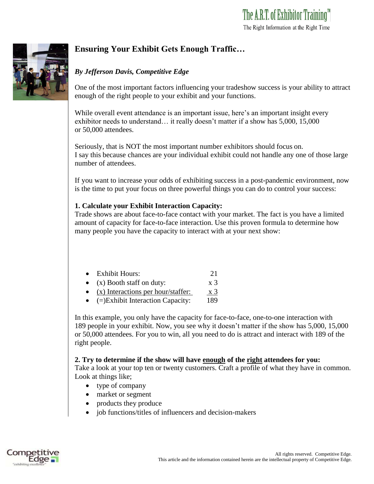

# **Ensuring Your Exhibit Gets Enough Traffic…**

## *By Jefferson Davis, Competitive Edge*

One of the most important factors influencing your tradeshow success is your ability to attract enough of the right people to your exhibit and your functions.

While overall event attendance is an important issue, here's an important insight every exhibitor needs to understand… it really doesn't matter if a show has 5,000, 15,000 or 50,000 attendees.

Seriously, that is NOT the most important number exhibitors should focus on. I say this because chances are your individual exhibit could not handle any one of those large number of attendees.

If you want to increase your odds of exhibiting success in a post-pandemic environment, now is the time to put your focus on three powerful things you can do to control your success:

### **1. Calculate your Exhibit Interaction Capacity:**

Trade shows are about face-to-face contact with your market. The fact is you have a limited amount of capacity for face-to-face interaction. Use this proven formula to determine how many people you have the capacity to interact with at your next show:

| $\bullet$ | <b>Exhibit Hours:</b>                                  | 21             |
|-----------|--------------------------------------------------------|----------------|
|           | • $(x)$ Booth staff on duty:                           | X <sub>3</sub> |
|           | $\bullet$ $\mathbf{v}$ ) Interactions per hour/staffer | $\mathbf{v}$ 2 |

(x) Interactions per hour/staffer: x 3

• (=)Exhibit Interaction Capacity: 189

In this example, you only have the capacity for face-to-face, one-to-one interaction with 189 people in your exhibit. Now, you see why it doesn't matter if the show has 5,000, 15,000 or 50,000 attendees. For you to win, all you need to do is attract and interact with 189 of the right people.

### **2. Try to determine if the show will have enough of the right attendees for you:**

Take a look at your top ten or twenty customers. Craft a profile of what they have in common. Look at things like;

- type of company
- market or segment
- products they produce
- job functions/titles of influencers and decision-makers